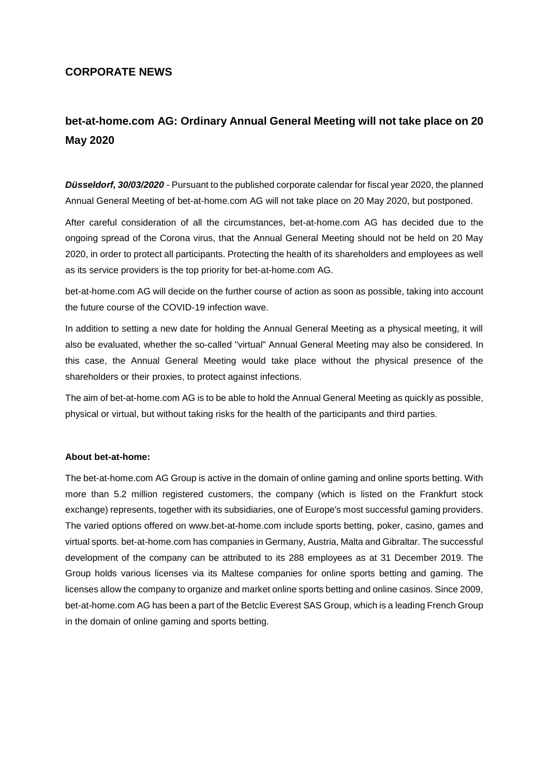## **CORPORATE NEWS**

## **bet-at-home.com AG: Ordinary Annual General Meeting will not take place on 20 May 2020**

*Düsseldorf, 30/03/2020* - Pursuant to the published corporate calendar for fiscal year 2020, the planned Annual General Meeting of bet-at-home.com AG will not take place on 20 May 2020, but postponed.

After careful consideration of all the circumstances, bet-at-home.com AG has decided due to the ongoing spread of the Corona virus, that the Annual General Meeting should not be held on 20 May 2020, in order to protect all participants. Protecting the health of its shareholders and employees as well as its service providers is the top priority for bet-at-home.com AG.

bet-at-home.com AG will decide on the further course of action as soon as possible, taking into account the future course of the COVID-19 infection wave.

In addition to setting a new date for holding the Annual General Meeting as a physical meeting, it will also be evaluated, whether the so-called "virtual" Annual General Meeting may also be considered. In this case, the Annual General Meeting would take place without the physical presence of the shareholders or their proxies, to protect against infections.

The aim of bet-at-home.com AG is to be able to hold the Annual General Meeting as quickly as possible, physical or virtual, but without taking risks for the health of the participants and third parties.

## **About bet-at-home:**

The bet-at-home.com AG Group is active in the domain of online gaming and online sports betting. With more than 5.2 million registered customers, the company (which is listed on the Frankfurt stock exchange) represents, together with its subsidiaries, one of Europe's most successful gaming providers. The varied options offered on www.bet-at-home.com include sports betting, poker, casino, games and virtual sports. bet-at-home.com has companies in Germany, Austria, Malta and Gibraltar. The successful development of the company can be attributed to its 288 employees as at 31 December 2019. The Group holds various licenses via its Maltese companies for online sports betting and gaming. The licenses allow the company to organize and market online sports betting and online casinos. Since 2009, bet-at-home.com AG has been a part of the Betclic Everest SAS Group, which is a leading French Group in the domain of online gaming and sports betting.